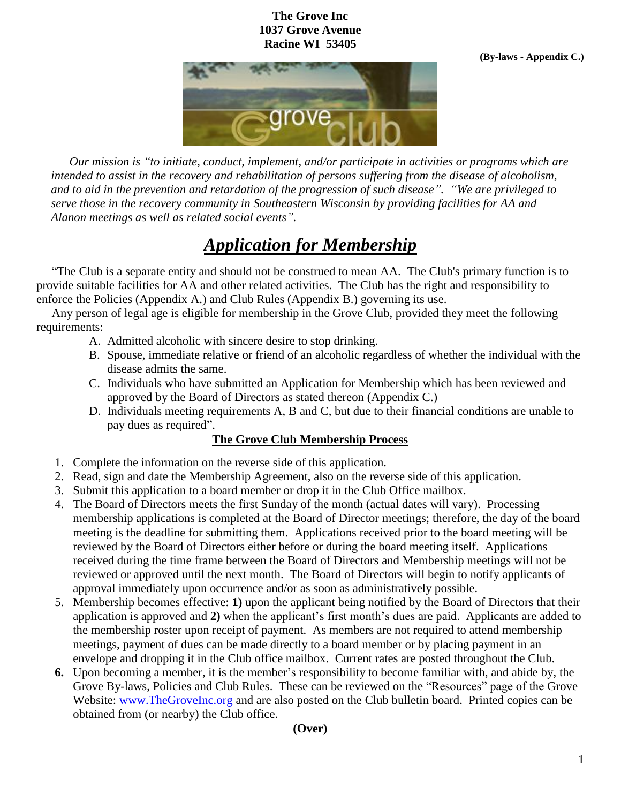## **The Grove Inc 1037 Grove Avenue Racine WI 53405**



 *Our mission is "to initiate, conduct, implement, and/or participate in activities or programs which are intended to assist in the recovery and rehabilitation of persons suffering from the disease of alcoholism, and to aid in the prevention and retardation of the progression of such disease". "We are privileged to serve those in the recovery community in Southeastern Wisconsin by providing facilities for AA and Alanon meetings as well as related social events".* 

## *Application for Membership*

 "The Club is a separate entity and should not be construed to mean AA. The Club's primary function is to provide suitable facilities for AA and other related activities. The Club has the right and responsibility to enforce the Policies (Appendix A.) and Club Rules (Appendix B.) governing its use.

 Any person of legal age is eligible for membership in the Grove Club, provided they meet the following requirements:

- A. Admitted alcoholic with sincere desire to stop drinking.
- B. Spouse, immediate relative or friend of an alcoholic regardless of whether the individual with the disease admits the same.
- C. Individuals who have submitted an Application for Membership which has been reviewed and approved by the Board of Directors as stated thereon (Appendix C.)
- D. Individuals meeting requirements A, B and C, but due to their financial conditions are unable to pay dues as required".

## **The Grove Club Membership Process**

- 1. Complete the information on the reverse side of this application.
- 2. Read, sign and date the Membership Agreement, also on the reverse side of this application.
- 3. Submit this application to a board member or drop it in the Club Office mailbox.
- 4. The Board of Directors meets the first Sunday of the month (actual dates will vary). Processing membership applications is completed at the Board of Director meetings; therefore, the day of the board meeting is the deadline for submitting them. Applications received prior to the board meeting will be reviewed by the Board of Directors either before or during the board meeting itself. Applications received during the time frame between the Board of Directors and Membership meetings will not be reviewed or approved until the next month. The Board of Directors will begin to notify applicants of approval immediately upon occurrence and/or as soon as administratively possible.
- 5. Membership becomes effective: **1)** upon the applicant being notified by the Board of Directors that their application is approved and **2)** when the applicant's first month's dues are paid. Applicants are added to the membership roster upon receipt of payment. As members are not required to attend membership meetings, payment of dues can be made directly to a board member or by placing payment in an envelope and dropping it in the Club office mailbox. Current rates are posted throughout the Club.
- **6.** Upon becoming a member, it is the member's responsibility to become familiar with, and abide by, the Grove By-laws, Policies and Club Rules. These can be reviewed on the "Resources" page of the Grove Website: [www.TheGroveInc.org](http://www.thegroveinc.org/) and are also posted on the Club bulletin board. Printed copies can be obtained from (or nearby) the Club office.